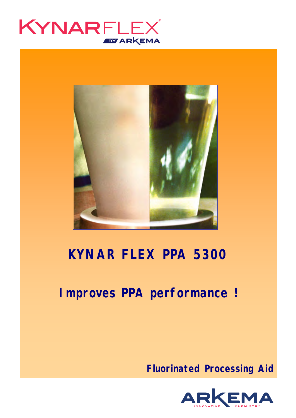



# **KYNAR FLEX PPA 5300**

# **Improves PPA performance !**

**Fluorinated Processing Aid**

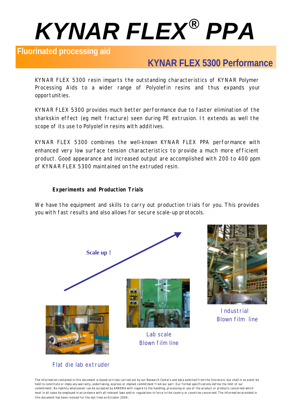# *KYNAR FLEX® PPA*

### **Fluorinated processing aid**

# **KYNAR FLEX 5300 Performance**

KYNAR FLEX 5300 resin imparts the outstanding characteristics of KYNAR Polymer Processing Aids to a wider range of Polyolefin resins and thus expands your opportunities.

KYNAR FLEX 5300 provides much better performance due to faster elimination of the sharkskin effect (eg melt fracture) seen during PE extrusion. It extends as well the scope of its use to Polyolefin resins with additives.

KYNAR FLEX 5300 combines the well-known KYNAR FLEX PPA performance with enhanced very low surface tension characteristics to provide a much more efficient product. Good appearance and increased output are accomplished with 200 to 400 ppm of KYNAR FLEX 5300 maintained on the extruded resin.

#### **Experiments and Production Trials**

We have the equipment and skills to carry out production trials for you. This provides you with fast results and also allows for secure scale-up protocols.





**Industrial** Blown film line

The information contained in this document is based on trials carried out by our Research Centers and data selected from the literature, but shall in no event be held to constitute or imply any warranty, undertaking, express or implied commitment from our part. Our formal specifications define the limit of our commitment. No liability whatsoever can be accepted by ARKEMA with regard to the handling, processing or use of the product or products concerned which must in all cases be employed in accordance with all relevant laws and/or regulations in force in the country or countries concerned. The information provided in this document has been revised for the last time on October 2004.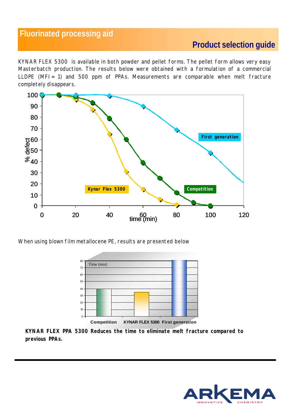## **Fluorinated processing aid**

# **Product selection guide**

KYNAR FLEX 5300 is available in both powder and pellet forms. The pellet form allows very easy Masterbatch production. The results below were obtained with a formulation of a commercial LLDPE (MFI= 1) and 500 ppm of PPAs. Measurements are comparable when melt fracture completely disappears.



When using blown film metallocene PE, results are presented below



**Competition KYNAR FLEX 5300 First generation**

**KYNAR FLEX PPA 5300 Reduces the time to eliminate melt fracture compared to previous PPAs.**